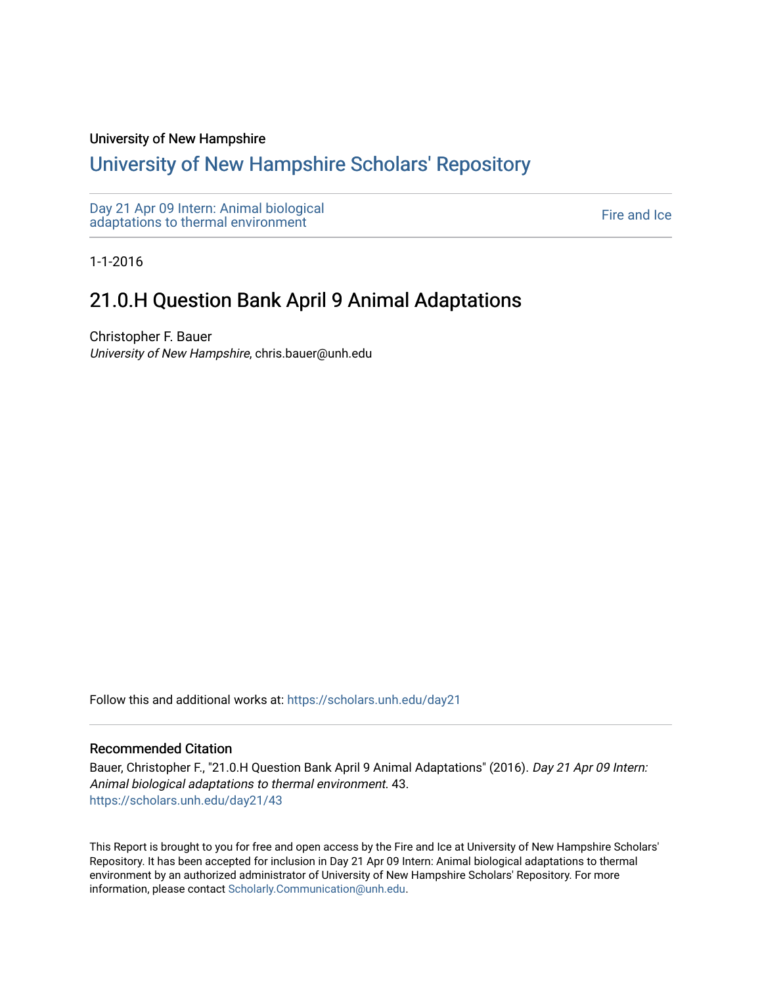#### University of New Hampshire

# [University of New Hampshire Scholars' Repository](https://scholars.unh.edu/)

[Day 21 Apr 09 Intern: Animal biological](https://scholars.unh.edu/day21)  Day 21 Apr 09 intern. Animal protogreat<br>[adaptations to thermal environment](https://scholars.unh.edu/day21) Fire and Ice

1-1-2016

# 21.0.H Question Bank April 9 Animal Adaptations

Christopher F. Bauer University of New Hampshire, chris.bauer@unh.edu

Follow this and additional works at: [https://scholars.unh.edu/day21](https://scholars.unh.edu/day21?utm_source=scholars.unh.edu%2Fday21%2F43&utm_medium=PDF&utm_campaign=PDFCoverPages) 

#### Recommended Citation

Bauer, Christopher F., "21.0.H Question Bank April 9 Animal Adaptations" (2016). Day 21 Apr 09 Intern: Animal biological adaptations to thermal environment. 43. [https://scholars.unh.edu/day21/43](https://scholars.unh.edu/day21/43?utm_source=scholars.unh.edu%2Fday21%2F43&utm_medium=PDF&utm_campaign=PDFCoverPages)

This Report is brought to you for free and open access by the Fire and Ice at University of New Hampshire Scholars' Repository. It has been accepted for inclusion in Day 21 Apr 09 Intern: Animal biological adaptations to thermal environment by an authorized administrator of University of New Hampshire Scholars' Repository. For more information, please contact [Scholarly.Communication@unh.edu.](mailto:Scholarly.Communication@unh.edu)